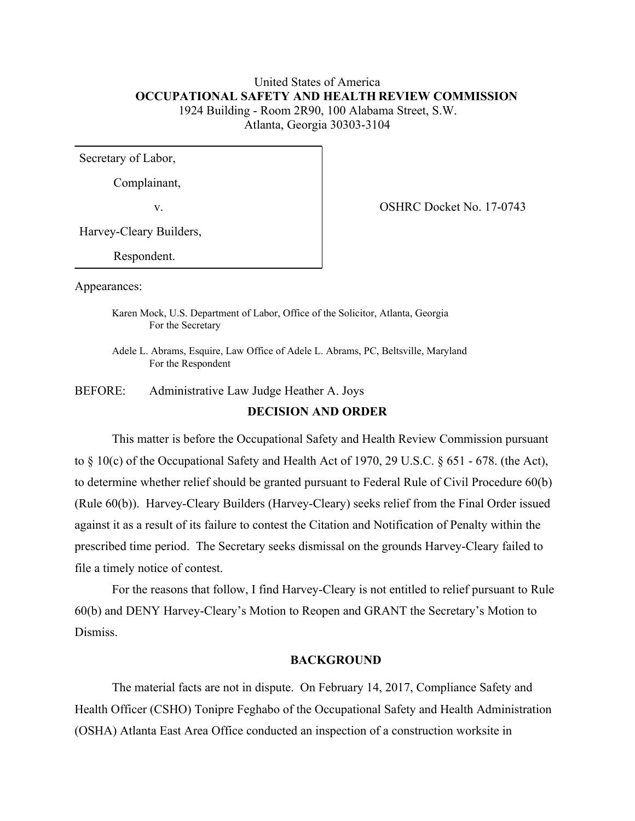# United States of America **OCCUPATIONAL SAFETY AND HEALTH REVIEW COMMISSION** 1924 Building - Room 2R90, 100 Alabama Street, S.W. Atlanta, Georgia 30303-3104

Secretary of Labor,

Complainant,

v. COSHRC Docket No. 17-0743

Harvey-Cleary Builders,

Respondent.

Appearances:

Karen Mock, U.S. Department of Labor, Office of the Solicitor, Atlanta, Georgia For the Secretary

Adele L. Abrams, Esquire, Law Office of Adele L. Abrams, PC, Beltsville, Maryland For the Respondent

BEFORE: Administrative Law Judge Heather A. Joys

# **DECISION AND ORDER**

This matter is before the Occupational Safety and Health Review Commission pursuant to § 10(c) of the Occupational Safety and Health Act of 1970, 29 U.S.C. § 651 - 678. (the Act), to determine whether relief should be granted pursuant to Federal Rule of Civil Procedure 60(b) (Rule 60(b)). Harvey-Cleary Builders (Harvey-Cleary) seeks relief from the Final Order issued against it as a result of its failure to contest the Citation and Notification of Penalty within the prescribed time period. The Secretary seeks dismissal on the grounds Harvey-Cleary failed to file a timely notice of contest.

For the reasons that follow, I find Harvey-Cleary is not entitled to relief pursuant to Rule 60(b) and DENY Harvey-Cleary's Motion to Reopen and GRANT the Secretary's Motion to Dismiss.

### **BACKGROUND**

The material facts are not in dispute. On February 14, 2017, Compliance Safety and Health Officer (CSHO) Tonipre Feghabo of the Occupational Safety and Health Administration (OSHA) Atlanta East Area Office conducted an inspection of a construction worksite in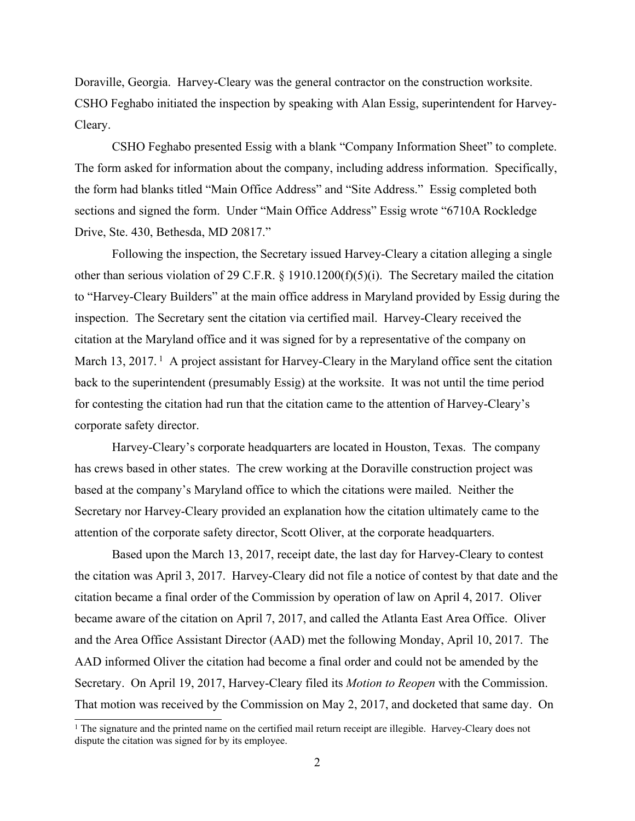Doraville, Georgia. Harvey-Cleary was the general contractor on the construction worksite. CSHO Feghabo initiated the inspection by speaking with Alan Essig, superintendent for Harvey-Cleary.

CSHO Feghabo presented Essig with a blank "Company Information Sheet" to complete. The form asked for information about the company, including address information. Specifically, the form had blanks titled "Main Office Address" and "Site Address." Essig completed both sections and signed the form. Under "Main Office Address" Essig wrote "6710A Rockledge Drive, Ste. 430, Bethesda, MD 20817."

Following the inspection, the Secretary issued Harvey-Cleary a citation alleging a single other than serious violation of 29 C.F.R. § 1910.1200(f)(5)(i). The Secretary mailed the citation to "Harvey-Cleary Builders" at the main office address in Maryland provided by Essig during the inspection. The Secretary sent the citation via certified mail. Harvey-Cleary received the citation at the Maryland office and it was signed for by a representative of the company on March 13, 2017.<sup>1</sup> A project assistant for Harvey-Cleary in the Maryland office sent the citation back to the superintendent (presumably Essig) at the worksite. It was not until the time period for contesting the citation had run that the citation came to the attention of Harvey-Cleary's corporate safety director.

Harvey-Cleary's corporate headquarters are located in Houston, Texas. The company has crews based in other states. The crew working at the Doraville construction project was based at the company's Maryland office to which the citations were mailed. Neither the Secretary nor Harvey-Cleary provided an explanation how the citation ultimately came to the attention of the corporate safety director, Scott Oliver, at the corporate headquarters.

Based upon the March 13, 2017, receipt date, the last day for Harvey-Cleary to contest the citation was April 3, 2017. Harvey-Cleary did not file a notice of contest by that date and the citation became a final order of the Commission by operation of law on April 4, 2017. Oliver became aware of the citation on April 7, 2017, and called the Atlanta East Area Office. Oliver and the Area Office Assistant Director (AAD) met the following Monday, April 10, 2017. The AAD informed Oliver the citation had become a final order and could not be amended by the Secretary. On April 19, 2017, Harvey-Cleary filed its *Motion to Reopen* with the Commission. That motion was received by the Commission on May 2, 2017, and docketed that same day. On

<sup>&</sup>lt;sup>1</sup> The signature and the printed name on the certified mail return receipt are illegible. Harvey-Cleary does not dispute the citation was signed for by its employee.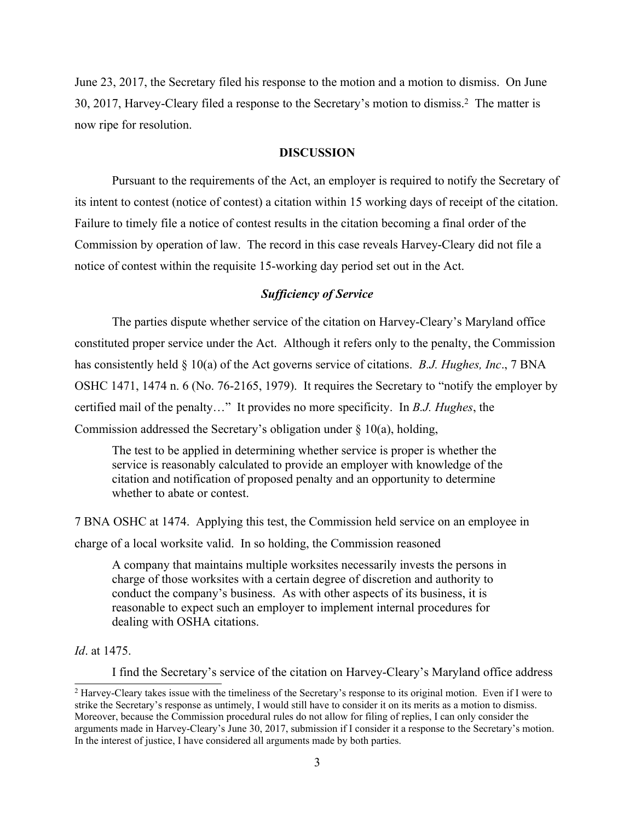June 23, 2017, the Secretary filed his response to the motion and a motion to dismiss. On June 30, 2017, Harvey-Cleary filed a response to the Secretary's motion to dismiss.<sup>2</sup> The matter is now ripe for resolution.

## **DISCUSSION**

Pursuant to the requirements of the Act, an employer is required to notify the Secretary of its intent to contest (notice of contest) a citation within 15 working days of receipt of the citation. Failure to timely file a notice of contest results in the citation becoming a final order of the Commission by operation of law. The record in this case reveals Harvey-Cleary did not file a notice of contest within the requisite 15-working day period set out in the Act.

## *Sufficiency of Service*

The parties dispute whether service of the citation on Harvey-Cleary's Maryland office constituted proper service under the Act. Although it refers only to the penalty, the Commission has consistently held § 10(a) of the Act governs service of citations. *B.J. Hughes, Inc*., 7 BNA OSHC 1471, 1474 n. 6 (No. 76-2165, 1979). It requires the Secretary to "notify the employer by certified mail of the penalty…" It provides no more specificity. In *B.J. Hughes*, the Commission addressed the Secretary's obligation under § 10(a), holding,

The test to be applied in determining whether service is proper is whether the service is reasonably calculated to provide an employer with knowledge of the citation and notification of proposed penalty and an opportunity to determine whether to abate or contest.

7 BNA OSHC at 1474. Applying this test, the Commission held service on an employee in charge of a local worksite valid. In so holding, the Commission reasoned

A company that maintains multiple worksites necessarily invests the persons in charge of those worksites with a certain degree of discretion and authority to conduct the company's business. As with other aspects of its business, it is reasonable to expect such an employer to implement internal procedures for dealing with OSHA citations.

*Id*. at 1475.

I find the Secretary's service of the citation on Harvey-Cleary's Maryland office address

<sup>2</sup> Harvey-Cleary takes issue with the timeliness of the Secretary's response to its original motion. Even if I were to strike the Secretary's response as untimely, I would still have to consider it on its merits as a motion to dismiss. Moreover, because the Commission procedural rules do not allow for filing of replies, I can only consider the arguments made in Harvey-Cleary's June 30, 2017, submission if I consider it a response to the Secretary's motion. In the interest of justice, I have considered all arguments made by both parties.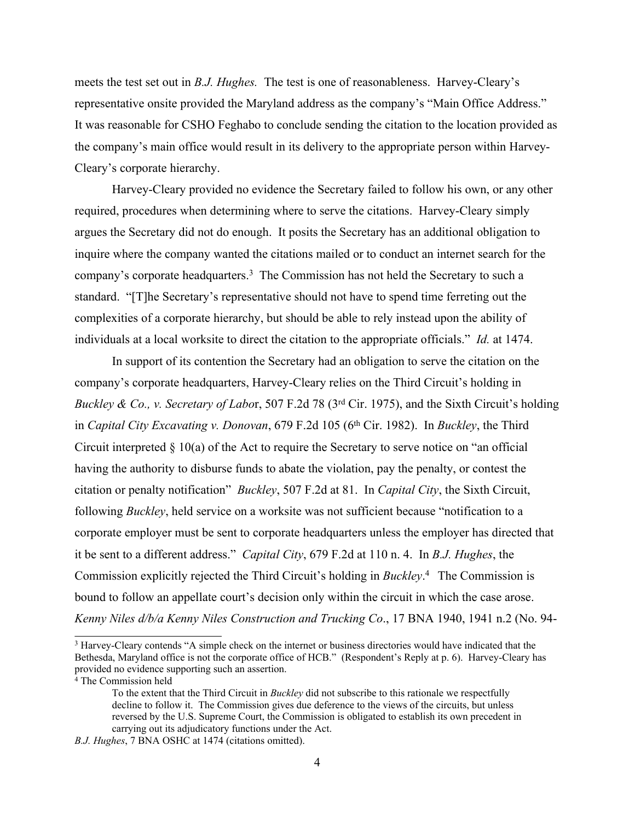meets the test set out in *B.J. Hughes.* The test is one of reasonableness. Harvey-Cleary's representative onsite provided the Maryland address as the company's "Main Office Address." It was reasonable for CSHO Feghabo to conclude sending the citation to the location provided as the company's main office would result in its delivery to the appropriate person within Harvey-Cleary's corporate hierarchy.

Harvey-Cleary provided no evidence the Secretary failed to follow his own, or any other required, procedures when determining where to serve the citations. Harvey-Cleary simply argues the Secretary did not do enough. It posits the Secretary has an additional obligation to inquire where the company wanted the citations mailed or to conduct an internet search for the company's corporate headquarters.<sup>3</sup> The Commission has not held the Secretary to such a standard. "[T]he Secretary's representative should not have to spend time ferreting out the complexities of a corporate hierarchy, but should be able to rely instead upon the ability of individuals at a local worksite to direct the citation to the appropriate officials." *Id.* at 1474.

In support of its contention the Secretary had an obligation to serve the citation on the company's corporate headquarters, Harvey-Cleary relies on the Third Circuit's holding in *Buckley & Co., v. Secretary of Labo*r, 507 F.2d 78 (3rd Cir. 1975), and the Sixth Circuit's holding in *Capital City Excavating v. Donovan*, 679 F.2d 105 (6th Cir. 1982). In *Buckley*, the Third Circuit interpreted § 10(a) of the Act to require the Secretary to serve notice on "an official having the authority to disburse funds to abate the violation, pay the penalty, or contest the citation or penalty notification" *Buckley*, 507 F.2d at 81. In *Capital City*, the Sixth Circuit, following *Buckley*, held service on a worksite was not sufficient because "notification to a corporate employer must be sent to corporate headquarters unless the employer has directed that it be sent to a different address." *Capital City*, 679 F.2d at 110 n. 4. In *B.J. Hughes*, the Commission explicitly rejected the Third Circuit's holding in *Buckley*. <sup>4</sup> The Commission is bound to follow an appellate court's decision only within the circuit in which the case arose. *Kenny Niles d/b/a Kenny Niles Construction and Trucking Co*., 17 BNA 1940, 1941 n.2 (No. 94-

<sup>3</sup> Harvey-Cleary contends "A simple check on the internet or business directories would have indicated that the Bethesda, Maryland office is not the corporate office of HCB." (Respondent's Reply at p. 6). Harvey-Cleary has provided no evidence supporting such an assertion.

<sup>4</sup> The Commission held

To the extent that the Third Circuit in *Buckley* did not subscribe to this rationale we respectfully decline to follow it. The Commission gives due deference to the views of the circuits, but unless reversed by the U.S. Supreme Court, the Commission is obligated to establish its own precedent in carrying out its adjudicatory functions under the Act.

*B.J. Hughes*, 7 BNA OSHC at 1474 (citations omitted).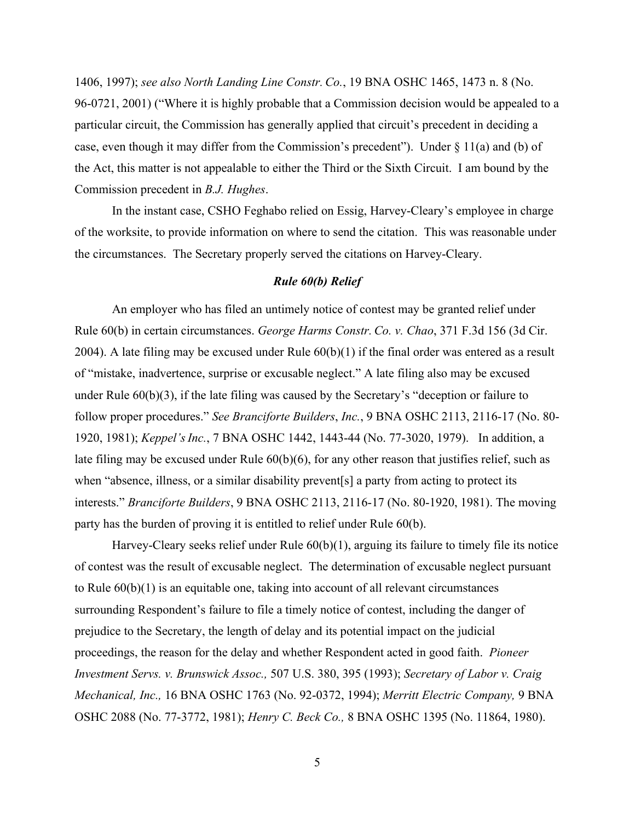1406, 1997); *see also North Landing Line Constr. Co.*, 19 BNA OSHC 1465, 1473 n. 8 (No. 96-0721, 2001) ("Where it is highly probable that a Commission decision would be appealed to a particular circuit, the Commission has generally applied that circuit's precedent in deciding a case, even though it may differ from the Commission's precedent"). Under § 11(a) and (b) of the Act, this matter is not appealable to either the Third or the Sixth Circuit. I am bound by the Commission precedent in *B.J. Hughes*.

In the instant case, CSHO Feghabo relied on Essig, Harvey-Cleary's employee in charge of the worksite, to provide information on where to send the citation. This was reasonable under the circumstances. The Secretary properly served the citations on Harvey-Cleary.

# *Rule 60(b) Relief*

An employer who has filed an untimely notice of contest may be granted relief under Rule 60(b) in certain circumstances. *George Harms Constr. Co. v. Chao*, 371 F.3d 156 (3d Cir. 2004). A late filing may be excused under Rule  $60(b)(1)$  if the final order was entered as a result of "mistake, inadvertence, surprise or excusable neglect." A late filing also may be excused under Rule 60(b)(3), if the late filing was caused by the Secretary's "deception or failure to follow proper procedures." *See Branciforte Builders*, *Inc.*, 9 BNA OSHC 2113, 2116-17 (No. 80- 1920, 1981); *Keppel'sInc.*, 7 BNA OSHC 1442, 1443-44 (No. 77-3020, 1979). In addition, a late filing may be excused under Rule 60(b)(6), for any other reason that justifies relief, such as when "absence, illness, or a similar disability prevent[s] a party from acting to protect its interests." *Branciforte Builders*, 9 BNA OSHC 2113, 2116-17 (No. 80-1920, 1981). The moving party has the burden of proving it is entitled to relief under Rule 60(b).

Harvey-Cleary seeks relief under Rule  $60(b)(1)$ , arguing its failure to timely file its notice of contest was the result of excusable neglect. The determination of excusable neglect pursuant to Rule 60(b)(1) is an equitable one, taking into account of all relevant circumstances surrounding Respondent's failure to file a timely notice of contest, including the danger of prejudice to the Secretary, the length of delay and its potential impact on the judicial proceedings, the reason for the delay and whether Respondent acted in good faith. *Pioneer Investment Servs. v. Brunswick Assoc.,* 507 U.S. 380, 395 (1993); *Secretary of Labor v. Craig Mechanical, Inc.,* 16 BNA OSHC 1763 (No. 92-0372, 1994); *Merritt Electric Company,* 9 BNA OSHC 2088 (No. 77-3772, 1981); *Henry C. Beck Co.,* 8 BNA OSHC 1395 (No. 11864, 1980).

5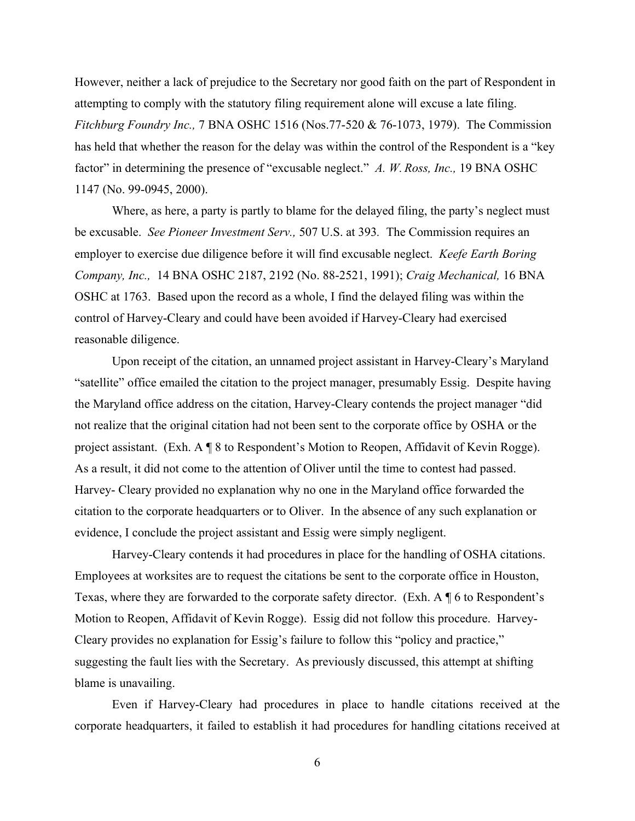However, neither a lack of prejudice to the Secretary nor good faith on the part of Respondent in attempting to comply with the statutory filing requirement alone will excuse a late filing. *Fitchburg Foundry Inc.,* 7 BNA OSHC 1516 (Nos.77-520 & 76-1073, 1979). The Commission has held that whether the reason for the delay was within the control of the Respondent is a "key factor" in determining the presence of "excusable neglect." *A. W. Ross, Inc.,* 19 BNA OSHC 1147 (No. 99-0945, 2000).

Where, as here, a party is partly to blame for the delayed filing, the party's neglect must be excusable. *See Pioneer Investment Serv.,* 507 U.S. at 393*.* The Commission requires an employer to exercise due diligence before it will find excusable neglect. *Keefe Earth Boring Company, Inc.,* 14 BNA OSHC 2187, 2192 (No. 88-2521, 1991); *Craig Mechanical,* 16 BNA OSHC at 1763. Based upon the record as a whole, I find the delayed filing was within the control of Harvey-Cleary and could have been avoided if Harvey-Cleary had exercised reasonable diligence.

Upon receipt of the citation, an unnamed project assistant in Harvey-Cleary's Maryland "satellite" office emailed the citation to the project manager, presumably Essig. Despite having the Maryland office address on the citation, Harvey-Cleary contends the project manager "did not realize that the original citation had not been sent to the corporate office by OSHA or the project assistant. (Exh. A ¶ 8 to Respondent's Motion to Reopen, Affidavit of Kevin Rogge). As a result, it did not come to the attention of Oliver until the time to contest had passed. Harvey- Cleary provided no explanation why no one in the Maryland office forwarded the citation to the corporate headquarters or to Oliver. In the absence of any such explanation or evidence, I conclude the project assistant and Essig were simply negligent.

Harvey-Cleary contends it had procedures in place for the handling of OSHA citations. Employees at worksites are to request the citations be sent to the corporate office in Houston, Texas, where they are forwarded to the corporate safety director. (Exh. A ¶ 6 to Respondent's Motion to Reopen, Affidavit of Kevin Rogge). Essig did not follow this procedure. Harvey-Cleary provides no explanation for Essig's failure to follow this "policy and practice," suggesting the fault lies with the Secretary. As previously discussed, this attempt at shifting blame is unavailing.

Even if Harvey-Cleary had procedures in place to handle citations received at the corporate headquarters, it failed to establish it had procedures for handling citations received at

6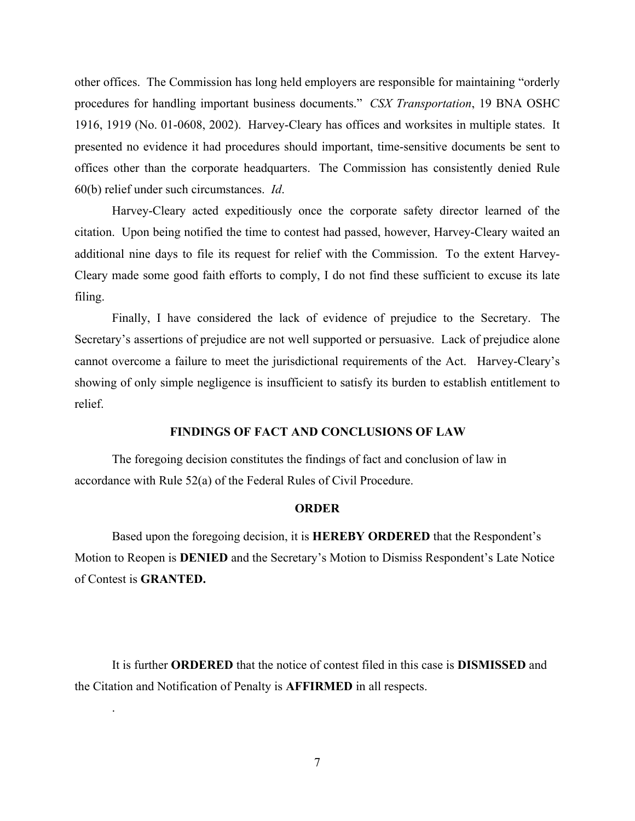other offices. The Commission has long held employers are responsible for maintaining "orderly procedures for handling important business documents." *CSX Transportation*, 19 BNA OSHC 1916, 1919 (No. 01-0608, 2002). Harvey-Cleary has offices and worksites in multiple states. It presented no evidence it had procedures should important, time-sensitive documents be sent to offices other than the corporate headquarters. The Commission has consistently denied Rule 60(b) relief under such circumstances. *Id*.

Harvey-Cleary acted expeditiously once the corporate safety director learned of the citation. Upon being notified the time to contest had passed, however, Harvey-Cleary waited an additional nine days to file its request for relief with the Commission. To the extent Harvey-Cleary made some good faith efforts to comply, I do not find these sufficient to excuse its late filing.

Finally, I have considered the lack of evidence of prejudice to the Secretary. The Secretary's assertions of prejudice are not well supported or persuasive. Lack of prejudice alone cannot overcome a failure to meet the jurisdictional requirements of the Act. Harvey-Cleary's showing of only simple negligence is insufficient to satisfy its burden to establish entitlement to relief.

### **FINDINGS OF FACT AND CONCLUSIONS OF LAW**

The foregoing decision constitutes the findings of fact and conclusion of law in accordance with Rule 52(a) of the Federal Rules of Civil Procedure.

### **ORDER**

Based upon the foregoing decision, it is **HEREBY ORDERED** that the Respondent's Motion to Reopen is **DENIED** and the Secretary's Motion to Dismiss Respondent's Late Notice of Contest is **GRANTED.**

It is further **ORDERED** that the notice of contest filed in this case is **DISMISSED** and the Citation and Notification of Penalty is **AFFIRMED** in all respects.

.